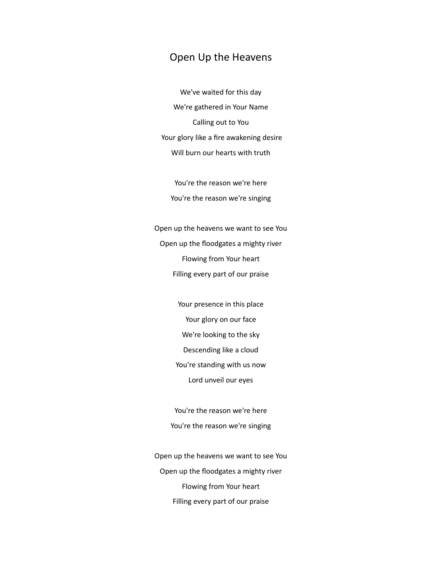## Open Up the Heavens

We've waited for this day We're gathered in Your Name Calling out to You Your glory like a fire awakening desire Will burn our hearts with truth

You're the reason we're here You're the reason we're singing

Open up the heavens we want to see You Open up the floodgates a mighty river Flowing from Your heart Filling every part of our praise

> Your presence in this place Your glory on our face We're looking to the sky Descending like a cloud You're standing with us now Lord unveil our eyes

You're the reason we're here You're the reason we're singing

Open up the heavens we want to see You Open up the floodgates a mighty river Flowing from Your heart Filling every part of our praise